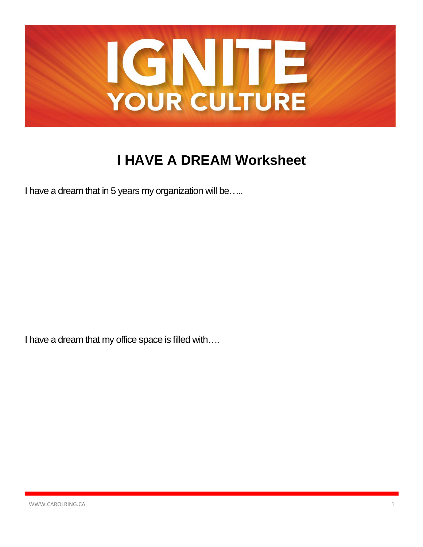

## **I HAVE A DREAM Worksheet**

I have a dream that in 5 years my organization will be.....

I have a dream that my office space is filled with....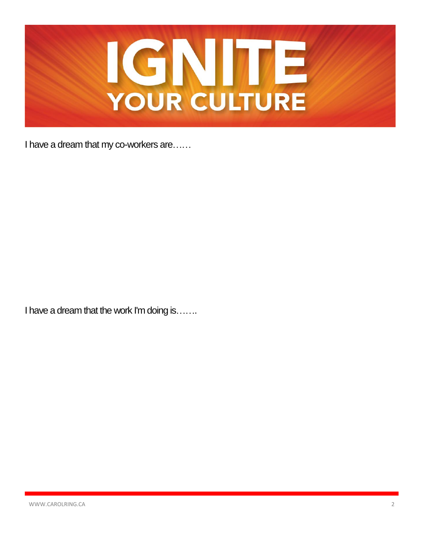

I have a dream that my co-workers are......

I have a dream that the work I'm doing is......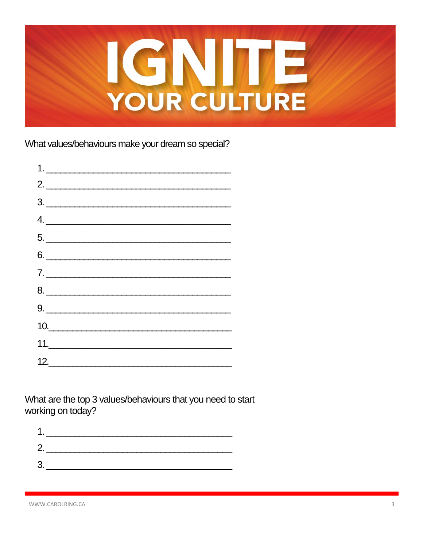

What values/behaviours make your dream so special?



What are the top 3 values/behaviours that you need to start working on today?

| 1. |  |
|----|--|
| 2. |  |
| 3. |  |
|    |  |